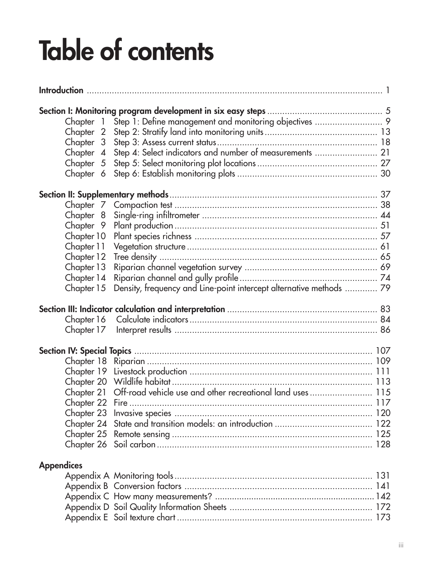## **Table of contents**

| Chapter 1         |                                                                       |  |
|-------------------|-----------------------------------------------------------------------|--|
| Chapter 2         |                                                                       |  |
| Chapter 3         |                                                                       |  |
| Chapter 4         | Step 4: Select indicators and number of measurements  21              |  |
| Chapter 5         |                                                                       |  |
| Chapter 6         |                                                                       |  |
|                   |                                                                       |  |
| Chapter 7         |                                                                       |  |
| Chapter 8         |                                                                       |  |
| Chapter 9         |                                                                       |  |
| Chapter 10        |                                                                       |  |
| Chapter 11        |                                                                       |  |
| Chapter 12        |                                                                       |  |
| Chapter 13        |                                                                       |  |
| Chapter 14        |                                                                       |  |
| Chapter 15        | Density, frequency and Line-point intercept alternative methods  79   |  |
|                   |                                                                       |  |
|                   |                                                                       |  |
| Chapter 17        |                                                                       |  |
|                   |                                                                       |  |
|                   |                                                                       |  |
|                   |                                                                       |  |
|                   |                                                                       |  |
|                   | Chapter 21 Off-road vehicle use and other recreational land uses  115 |  |
|                   |                                                                       |  |
|                   |                                                                       |  |
|                   |                                                                       |  |
|                   |                                                                       |  |
|                   |                                                                       |  |
| <b>Appendices</b> |                                                                       |  |
|                   |                                                                       |  |
|                   |                                                                       |  |
|                   |                                                                       |  |

Appendix D Soil Quality Information Sheets ......................................................... 172 Appendix E Soil texture chart .............................................................................. 173